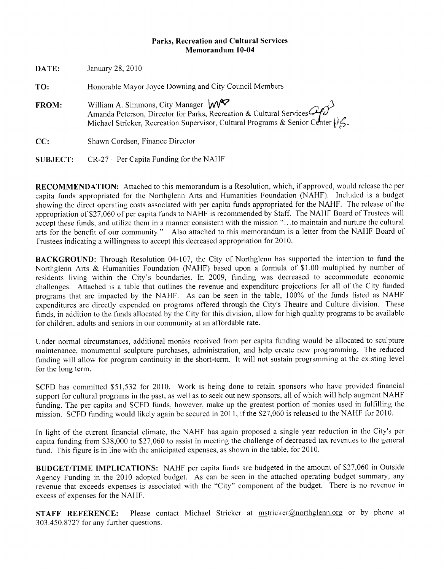### **Parks. Recreation and Cultural Services** Memorandum 10-04

| DATE:           | January 28, 2010                                                                                                                                                                                 |
|-----------------|--------------------------------------------------------------------------------------------------------------------------------------------------------------------------------------------------|
| TO:             | Honorable Mayor Joyce Downing and City Council Members                                                                                                                                           |
| FROM:           | William A. Simmons, City Manager W<br>Amanda Peterson, Director for Parks, Recreation & Cultural Services Com<br>Michael Stricker, Recreation Supervisor, Cultural Programs & Senior Center (15. |
| CC:             | Shawn Cordsen, Finance Director                                                                                                                                                                  |
| <b>SUBJECT:</b> | $CR-27$ – Per Capita Funding for the NAHF                                                                                                                                                        |

RECOMMENDATION: Attached to this memorandum is a Resolution, which, if approved, would release the per capita funds appropriated for the Northglenn Arts and Humanities Foundation (NAHF). Included is a budget showing the direct operating costs associated with per capita funds appropriated for the NAHF. The release of the appropriation of \$27,060 of per capita funds to NAHF is recommended by Staff. The NAHF Board of Trustees will accept these funds, and utilize them in a manner consistent with the mission "...to maintain and nurture the cultural arts for the benefit of our community." Also attached to this memorandum is a letter from the NAHF Board of Trustees indicating a willingness to accept this decreased appropriation for 2010.

BACKGROUND: Through Resolution 04-107, the City of Northglenn has supported the intention to fund the Northglenn Arts & Humanities Foundation (NAHF) based upon a formula of \$1.00 multiplied by number of residents living within the City's boundaries. In 2009, funding was decreased to accommodate economic challenges. Attached is a table that outlines the revenue and expenditure projections for all of the City funded programs that are impacted by the NAHF. As can be seen in the table, 100% of the funds listed as NAHF expenditures are directly expended on programs offered through the City's Theatre and Culture division. These funds, in addition to the funds allocated by the City for this division, allow for high quality programs to be available for children, adults and seniors in our community at an affordable rate.

Under normal circumstances, additional monies received from per capita funding would be allocated to sculpture maintenance, monumental sculpture purchases, administration, and help create new programming. The reduced funding will allow for program continuity in the short-term. It will not sustain programming at the existing level for the long term.

SCFD has committed \$51,532 for 2010. Work is being done to retain sponsors who have provided financial support for cultural programs in the past, as well as to seek out new sponsors, all of which will help augment NAHF funding. The per capita and SCFD funds, however, make up the greatest portion of monies used in fulfilling the mission. SCFD funding would likely again be secured in 2011, if the \$27,060 is released to the NAHF for 2010.

In light of the current financial climate, the NAHF has again proposed a single year reduction in the City's per capita funding from \$38,000 to \$27,060 to assist in meeting the challenge of decreased tax revenues to the general fund. This figure is in line with the anticipated expenses, as shown in the table, for 2010.

BUDGET/TIME IMPLICATIONS: NAHF per capita funds are budgeted in the amount of \$27,060 in Outside Agency Funding in the 2010 adopted budget. As can be seen in the attached operating budget summary, any revenue that exceeds expenses is associated with the "City" component of the budget. There is no revenue in excess of expenses for the NAHF.

Please contact Michael Stricker at mstricker@northglenn.org or by phone at **STAFF REFERENCE:** 303.450.8727 for any further questions.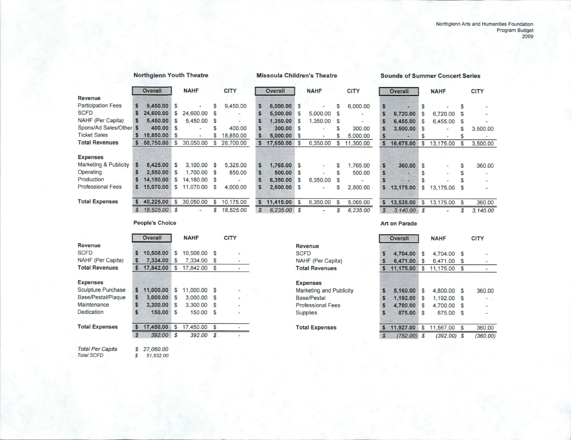|                           |               | <b>Overall</b> |          | <b>NAHF</b>              |    | <b>CITY</b> |               | <b>Overall</b> |              | <b>NAHF</b>                  |          | <b>CITY</b>              |                  | <b>Overall</b> |    | <b>NAHF</b>              |               | <b>CITY</b> |
|---------------------------|---------------|----------------|----------|--------------------------|----|-------------|---------------|----------------|--------------|------------------------------|----------|--------------------------|------------------|----------------|----|--------------------------|---------------|-------------|
| Revenue                   |               |                |          |                          |    |             |               |                |              |                              |          |                          |                  |                |    |                          |               |             |
| <b>Participation Fees</b> | S.            | 9,450.00       | S        | $\overline{\phantom{a}}$ | S  | 9,450.00    |               | 6,000.00 \$    |              | $\qquad \qquad \blacksquare$ | S        | 6,000.00                 | $\mathsf{s}$     |                | S  |                          |               |             |
| <b>SCFD</b>               |               | 24,600.00      | S        | 24,600.00                |    |             |               | 5,000.00       | S            | 5,000.00                     | S        | $\overline{\phantom{a}}$ | S                | 6,720.00       | S  | 6.720.00                 |               |             |
| NAHF (Per Capita)         |               | 5,450.00       | S        | 5,450.00                 | S  |             |               | 1,350.00       | S            | 1,350.00                     | <b>S</b> | $\overline{\phantom{a}}$ |                  | 6,455.00       | S  | 6,455.00                 | <b>S</b>      |             |
| Spons/Ad Sales/Other      | S             | 400.00         | \$.      | $\overline{\phantom{0}}$ |    | 400.00      |               | 300.00 S       |              | $\overline{\phantom{a}}$     |          | 300.00                   |                  | 3,500.00       | -S |                          |               | 3,500       |
| <b>Ticket Sales</b>       |               | 18,850.00      | <b>S</b> | $\overline{a}$           |    | 18,850.00   |               | 5,000.00 \$    |              | $\blacksquare$               |          | 5,000.00                 |                  | œ              | S  |                          |               |             |
| <b>Total Revenues</b>     |               | 58,750.00      | S        | 30.050.00                | S  | 28,700.00   |               | 17,650.00      | <b>S</b>     | 6,350.00                     | S        | 11,300.00                | $\mathbf{s}$     | 16,675.00      | S  | 13,175.00                |               | 3,500       |
| <b>Expenses</b>           |               |                |          |                          |    |             |               |                |              |                              |          |                          |                  |                |    |                          |               |             |
| Marketing & Publicity     | S.            | 8,425.00       | S        | 3,100.00                 | S  | 5,325.00    | S             | 1,765.00 S     |              | $\sim$                       | S        | 1,765.00                 | $\mathbf{s}$     | 360.00         | £. |                          |               | 360         |
| Operating                 |               | 2,550.00       | \$.      | 1,700.00                 | S. | 850.00      | S             | 500.00 S       |              | $\overline{a}$               |          | 500.00                   | $\boldsymbol{s}$ | æ              | S  | $\overline{\phantom{0}}$ |               |             |
| Production                |               | 14,180.00      | S        | 14.180.00                |    |             |               | 6,350.00       | S            | 6,350.00                     |          | $\overline{\phantom{a}}$ | S                | -alle          |    |                          |               |             |
| <b>Professional Fees</b>  |               | 15,070.00      | S        | 11,070.00                | S  | 4,000.00    |               | 2,800.00 S     |              | $\qquad \qquad \blacksquare$ |          | 2,800.00                 |                  | \$13,175.00    | S  | 13,175.00 \$             |               |             |
| <b>Total Expenses</b>     |               | 40,225,00      |          | 30,050.00                | S  | 10,175.00   | S.            | 11,415.00      | $\mathbb{S}$ | 6,350.00                     | S        | 5,065.00                 |                  | \$13,535.00    | \$ | 13,175.00                | <sup>\$</sup> | 360         |
|                           | $\mathcal{S}$ | 18.525.00 \$   |          | $\overline{\phantom{a}}$ | \$ | 18.525.00   | $\mathcal{L}$ | $6,235.00$ \$  |              |                              |          | 6.235.00                 | $\mathcal{S}$    | $3,140.00$ \$  |    |                          |               | 3.140       |

### **Northglenn Youth Theatre**

**Missoula Children's Theatre** 

Revenue **SCFD** 

**Expenses** 

Base/Pestal **Professional Fees** Supplies

**Total Expenses** 

NAHF (Per Capita) **Total Revenues** 

Marketing and Publicity

#### **Sounds of Summer Concert Series**

| \$            |           | \$              | \$             |
|---------------|-----------|-----------------|----------------|
| \$            | 6,720.00  | \$<br>6.720.00  | \$             |
| S             | 6,455.00  | \$<br>6,455.00  | \$             |
| S             | 3,500.00  | \$              | \$<br>3,500.00 |
| \$            |           | \$              | \$             |
|               | 16,675.00 | \$<br>13,175.00 | \$<br>3,500.00 |
|               |           |                 |                |
| \$            | 360.00    | \$              | \$<br>360.00   |
| \$            |           | \$              | \$             |
| S             |           | \$              | \$             |
| \$            | 13,175.00 | \$<br>13,175.00 | \$             |
|               | 13,535.00 | \$<br>13,175.00 | \$<br>360.00   |
| $\mathcal{R}$ | 3,140.00  | \$              | \$<br>3.140.00 |
|               |           |                 |                |

#### Art on Parade

|               | <b>Overall</b> |    | <b>NAHF</b> |               | <b>CITY</b> |  |  |  |
|---------------|----------------|----|-------------|---------------|-------------|--|--|--|
| S             | 4,704.00       | \$ | 4,704.00    | \$            |             |  |  |  |
| \$            | 6,471.00       | \$ | 6,471.00    | \$            |             |  |  |  |
|               | 11,175.00      | \$ | 11,175.00   | \$            |             |  |  |  |
|               |                |    |             |               |             |  |  |  |
| S             | 5,160.00       | S  | 4.800.00    | S             | 360.00      |  |  |  |
| S             | 1,192.00       | \$ | 1.192.00    | \$            |             |  |  |  |
| S             | 4,700.00       | S  | 4.700.00    | S             |             |  |  |  |
| \$            | 875.00         | S  | 875.00      | S             |             |  |  |  |
|               | 11,927.00      | S  | 11,567.00   | \$            | 360.00      |  |  |  |
| $\mathcal{L}$ | (752.00)       | \$ | (392.00)    | $\mathcal{F}$ | (360.00)    |  |  |  |

### **People's Choice**

|                         |               | <b>Overall</b> |               | <b>NAHF</b> |                | <b>CITY</b> |
|-------------------------|---------------|----------------|---------------|-------------|----------------|-------------|
| Revenue                 |               |                |               |             |                |             |
| <b>SCFD</b>             | S             | 10,508.00      | \$            | 10.508.00   | S              |             |
| NAHF (Per Capita)       | S             | 7,334.00       | \$            | 7.334.00    | S              |             |
| <b>Total Revenues</b>   | S             | 17,842.00      | S             | 17,842.00   | S              |             |
| <b>Expenses</b>         |               |                |               |             |                |             |
| Sculpture Purchase      | S             | 11,000.00      | S             | 11,000.00   | S              |             |
| Base/Pestal/Plaque      | \$            | 3,000.00       | S             | 3,000.00    | S              |             |
| Maintenance             | S             | 3,300.00       | S             | 3,300.00    | S              |             |
| Dedication              | Ŝ             | 150.00         | \$            | 150.00      | S              |             |
| <b>Total Expenses</b>   | S             | 17,450.00      | S             | 17,450.00   | S              |             |
|                         | $\mathcal{S}$ | 392.00         | $\mathcal{L}$ | 392.00      | $\mathfrak{F}$ |             |
|                         |               |                |               |             |                |             |
| <b>Total Per Capita</b> | \$            | 27,060.00      |               |             |                |             |
| <b>Total SCFD</b>       | \$            | 51,532.00      |               |             |                |             |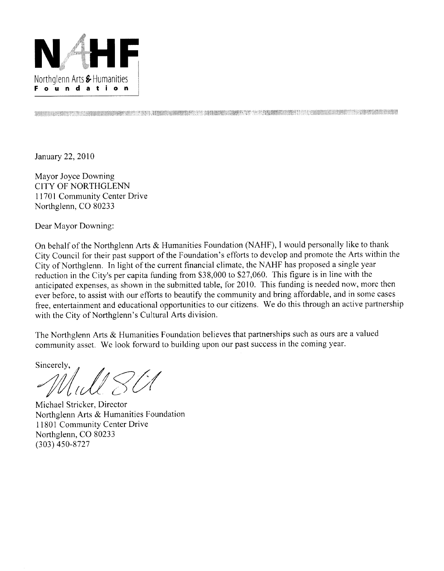

DE MARIE DE LA POLITICA DE LA CONSTITUCIÓN DE LA CONSTITUCIÓN DE LA CONSTITUCIÓN DE LA CONSTITUCIÓN DE LA CONSTITUCIÓN

January 22, 2010

Mayor Joyce Downing CITY OF NORTHGLENN 11701 Community Center Drive Northglenn, CO 80233

Dear Mayor Downing:

On behalf of the Northglenn Arts & Humanities Foundation (NAHF), I would personally like to thank City Council for their past support of the Foundation's efforts to develop and promote the Arts within the City of Northglenn. In light of the current financial climate, the NAHF has proposed a single year reduction in the City's per capita funding from \$38,000 to \$27,060. This figure is in line with the anticipated expenses, as shown in the submitted table, for 2010. This funding is needed now, more then ever before, to assist with our efforts to beautify the community and bring affordable, and in some cases free, entertainment and educational opportunities to our citizens. We do this through an active partnership with the City of Northglenn's Cultural Arts division.

The Northglenn Arts & Humanities Foundation believes that partnerships such as ours are a valued community asset. We look forward to building upon our past success in the coming year.

Sincerely,

Michael Stricker, Director Northglenn Arts & Humanities Foundation 11801 Community Center Drive Northglenn, CO 80233  $(303)$  450-8727